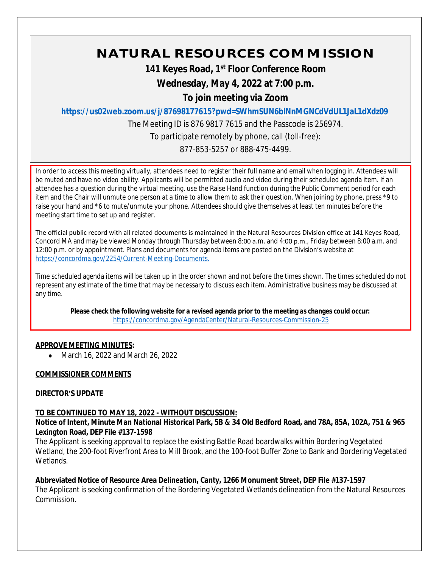# **NATURAL RESOURCES COMMISSION**

**141 Keyes Road, 1st Floor Conference Room**

**Wednesday, May 4, 2022 at 7:00 p.m.**

**To join meeting via Zoom**

**<https://us02web.zoom.us/j/87698177615?pwd=SWhmSUN6blNnMGNCdVdUL1JaL1dXdz09>**

The Meeting ID is 876 9817 7615 and the Passcode is 256974.

To participate remotely by phone, call (toll-free):

877-853-5257 or 888-475-4499.

In order to access this meeting virtually, attendees need to register their full name and email when logging in. Attendees will be muted and have no video ability. Applicants will be permitted audio and video during their scheduled agenda item. If an attendee has a question during the virtual meeting, use the Raise Hand function during the Public Comment period for each item and the Chair will unmute one person at a time to allow them to ask their question. When joining by phone, press \*9 to raise your hand and \*6 to mute/unmute your phone. Attendees should give themselves at least ten minutes before the meeting start time to set up and register.

The official public record with all related documents is maintained in the Natural Resources Division office at 141 Keyes Road, Concord MA and may be viewed Monday through Thursday between 8:00 a.m. and 4:00 p.m., Friday between 8:00 a.m. and 12:00 p.m. or by appointment. Plans and documents for agenda items are posted on the Division's website at [https://concordma.gov/2254/Current-Meeting-Documents.](https://concordma.gov/2254/Current-Meeting-Documents)

Time scheduled agenda items will be taken up in the order shown and not before the times shown. The times scheduled do not represent any estimate of the time that may be necessary to discuss each item. Administrative business may be discussed at any time.

**Please check the following website for a revised agenda prior to the meeting as changes could occur:**  <https://concordma.gov/AgendaCenter/Natural-Resources-Commission-25>

## **APPROVE MEETING MINUTES:**

• March 16, 2022 and March 26, 2022

## **COMMISSIONER COMMENTS**

## **DIRECTOR'S UPDATE**

## **TO BE CONTINUED TO MAY 18, 2022 - WITHOUT DISCUSSION:**

**Notice of Intent, Minute Man National Historical Park, 5B & 34 Old Bedford Road, and 78A, 85A, 102A, 751 & 965 Lexington Road, DEP File #137-1598**

The Applicant is seeking approval to replace the existing Battle Road boardwalks within Bordering Vegetated Wetland, the 200-foot Riverfront Area to Mill Brook, and the 100-foot Buffer Zone to Bank and Bordering Vegetated Wetlands.

## **Abbreviated Notice of Resource Area Delineation, Canty, 1266 Monument Street, DEP File #137-1597**

The Applicant is seeking confirmation of the Bordering Vegetated Wetlands delineation from the Natural Resources Commission.